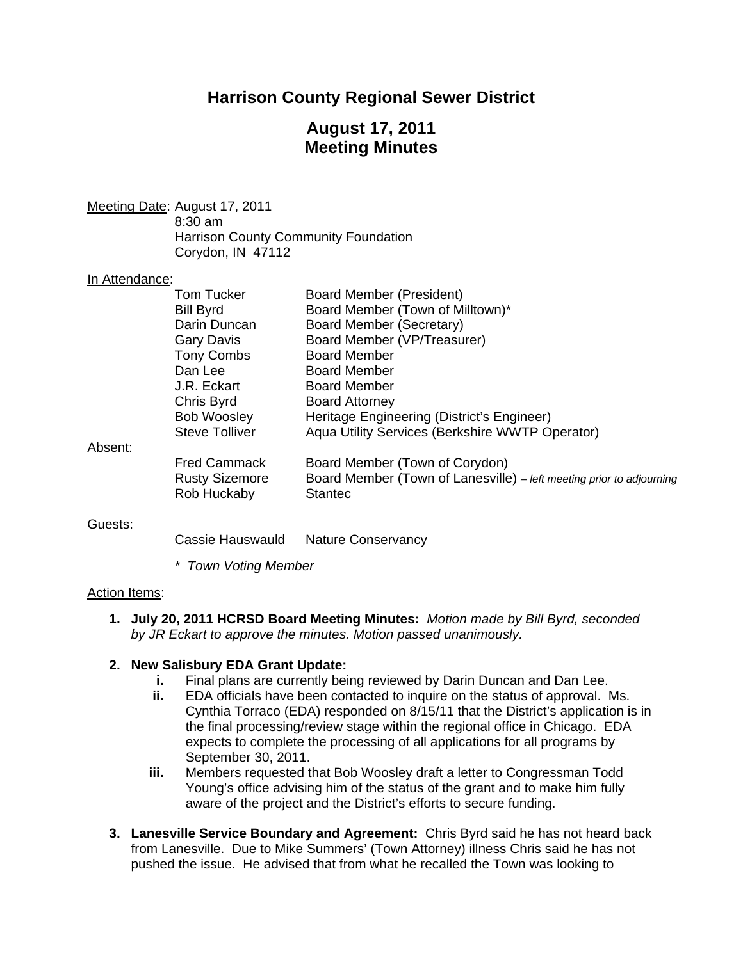# **Harrison County Regional Sewer District**

# **August 17, 2011 Meeting Minutes**

Meeting Date: August 17, 2011 8:30 am Harrison County Community Foundation Corydon, IN 47112

#### In Attendance:

|         | Tom Tucker            | Board Member (President)                                             |
|---------|-----------------------|----------------------------------------------------------------------|
|         | <b>Bill Byrd</b>      | Board Member (Town of Milltown)*                                     |
|         | Darin Duncan          | Board Member (Secretary)                                             |
|         | <b>Gary Davis</b>     | Board Member (VP/Treasurer)                                          |
|         | <b>Tony Combs</b>     | <b>Board Member</b>                                                  |
|         | Dan Lee               | <b>Board Member</b>                                                  |
|         | J.R. Eckart           | <b>Board Member</b>                                                  |
|         | Chris Byrd            | <b>Board Attorney</b>                                                |
|         | <b>Bob Woosley</b>    | Heritage Engineering (District's Engineer)                           |
|         | <b>Steve Tolliver</b> | Aqua Utility Services (Berkshire WWTP Operator)                      |
| Absent: |                       |                                                                      |
|         | <b>Fred Cammack</b>   | Board Member (Town of Corydon)                                       |
|         | <b>Rusty Sizemore</b> | Board Member (Town of Lanesville) – left meeting prior to adjourning |
|         | Rob Huckaby           | <b>Stantec</b>                                                       |

#### Guests:

Cassie Hauswauld Nature Conservancy

*\* Town Voting Member* 

#### Action Items:

**1. July 20, 2011 HCRSD Board Meeting Minutes:** *Motion made by Bill Byrd, seconded by JR Eckart to approve the minutes. Motion passed unanimously.* 

#### **2. New Salisbury EDA Grant Update:**

- **i.** Final plans are currently being reviewed by Darin Duncan and Dan Lee.
- **ii.** EDA officials have been contacted to inquire on the status of approval. Ms. Cynthia Torraco (EDA) responded on 8/15/11 that the District's application is in the final processing/review stage within the regional office in Chicago. EDA expects to complete the processing of all applications for all programs by September 30, 2011.
- **iii.** Members requested that Bob Woosley draft a letter to Congressman Todd Young's office advising him of the status of the grant and to make him fully aware of the project and the District's efforts to secure funding.
- **3. Lanesville Service Boundary and Agreement:** Chris Byrd said he has not heard back from Lanesville. Due to Mike Summers' (Town Attorney) illness Chris said he has not pushed the issue. He advised that from what he recalled the Town was looking to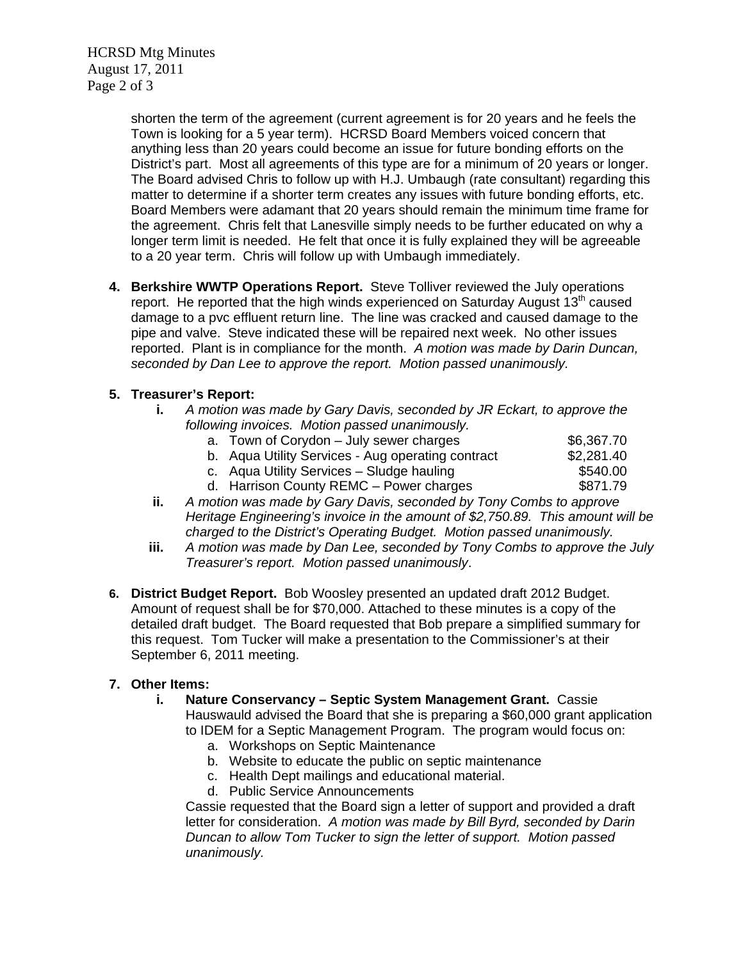HCRSD Mtg Minutes August 17, 2011 Page 2 of 3

> shorten the term of the agreement (current agreement is for 20 years and he feels the Town is looking for a 5 year term). HCRSD Board Members voiced concern that anything less than 20 years could become an issue for future bonding efforts on the District's part. Most all agreements of this type are for a minimum of 20 years or longer. The Board advised Chris to follow up with H.J. Umbaugh (rate consultant) regarding this matter to determine if a shorter term creates any issues with future bonding efforts, etc. Board Members were adamant that 20 years should remain the minimum time frame for the agreement. Chris felt that Lanesville simply needs to be further educated on why a longer term limit is needed. He felt that once it is fully explained they will be agreeable to a 20 year term. Chris will follow up with Umbaugh immediately.

**4. Berkshire WWTP Operations Report.** Steve Tolliver reviewed the July operations report. He reported that the high winds experienced on Saturday August 13<sup>th</sup> caused damage to a pvc effluent return line. The line was cracked and caused damage to the pipe and valve. Steve indicated these will be repaired next week. No other issues reported. Plant is in compliance for the month. *A motion was made by Darin Duncan, seconded by Dan Lee to approve the report. Motion passed unanimously.* 

### **5. Treasurer's Report:**

- **i.** *A motion was made by Gary Davis, seconded by JR Eckart, to approve the following invoices. Motion passed unanimously.* 
	- a. Town of Corydon July sewer charges  $$6,367.70$
	- b. Aqua Utility Services Aug operating contract \$2,281.40
	- c. Aqua Utility Services Sludge hauling  $$540.00$
	- d. Harrison County REMC Power charges \$871.79
- **ii.** *A motion was made by Gary Davis, seconded by Tony Combs to approve Heritage Engineering's invoice in the amount of \$2,750.89. This amount will be charged to the District's Operating Budget. Motion passed unanimously.*
- **iii.** *A motion was made by Dan Lee, seconded by Tony Combs to approve the July Treasurer's report. Motion passed unanimously*.
- **6. District Budget Report.** Bob Woosley presented an updated draft 2012 Budget. Amount of request shall be for \$70,000. Attached to these minutes is a copy of the detailed draft budget. The Board requested that Bob prepare a simplified summary for this request. Tom Tucker will make a presentation to the Commissioner's at their September 6, 2011 meeting.

### **7. Other Items:**

- **i. Nature Conservancy Septic System Management Grant.** Cassie Hauswauld advised the Board that she is preparing a \$60,000 grant application to IDEM for a Septic Management Program. The program would focus on:
	- a. Workshops on Septic Maintenance
	- b. Website to educate the public on septic maintenance
	- c. Health Dept mailings and educational material.
	- d. Public Service Announcements

Cassie requested that the Board sign a letter of support and provided a draft letter for consideration. *A motion was made by Bill Byrd, seconded by Darin Duncan to allow Tom Tucker to sign the letter of support. Motion passed unanimously.*